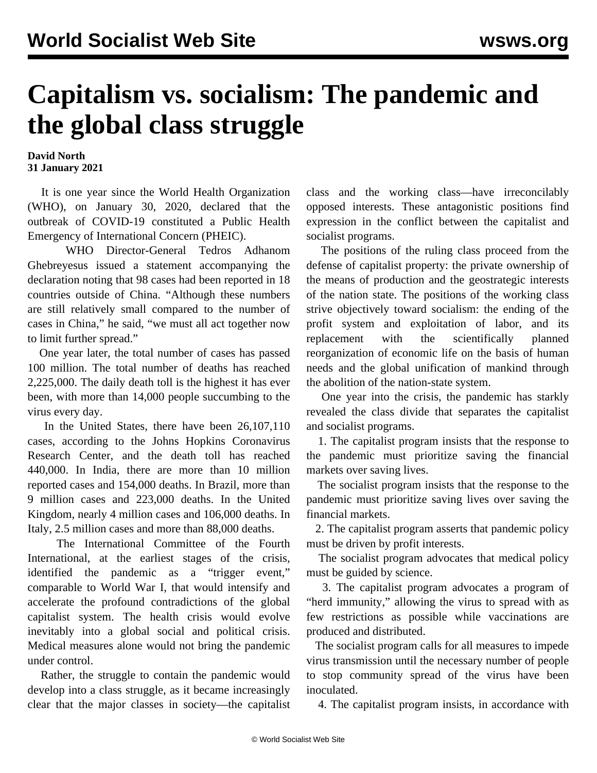## **Capitalism vs. socialism: The pandemic and the global class struggle**

**David North 31 January 2021**

 It is one year since the World Health Organization (WHO), on January 30, 2020, declared that the outbreak of COVID-19 constituted a Public Health Emergency of International Concern (PHEIC).

 WHO Director-General Tedros Adhanom Ghebreyesus issued a statement accompanying the declaration noting that 98 cases had been reported in 18 countries outside of China. "Although these numbers are still relatively small compared to the number of cases in China," he said, "we must all act together now to limit further spread."

 One year later, the total number of cases has passed 100 million. The total number of deaths has reached 2,225,000. The daily death toll is the highest it has ever been, with more than 14,000 people succumbing to the virus every day.

 In the United States, there have been 26,107,110 cases, according to the Johns Hopkins Coronavirus Research Center, and the death toll has reached 440,000. In India, there are more than 10 million reported cases and 154,000 deaths. In Brazil, more than 9 million cases and 223,000 deaths. In the United Kingdom, nearly 4 million cases and 106,000 deaths. In Italy, 2.5 million cases and more than 88,000 deaths.

 The International Committee of the Fourth International, at the earliest stages of the crisis, identified the pandemic as a "trigger event," comparable to World War I, that would intensify and accelerate the profound contradictions of the global capitalist system. The health crisis would evolve inevitably into a global social and political crisis. Medical measures alone would not bring the pandemic under control.

 Rather, the struggle to contain the pandemic would develop into a class struggle, as it became increasingly clear that the major classes in society—the capitalist class and the working class—have irreconcilably opposed interests. These antagonistic positions find expression in the conflict between the capitalist and socialist programs.

 The positions of the ruling class proceed from the defense of capitalist property: the private ownership of the means of production and the geostrategic interests of the nation state. The positions of the working class strive objectively toward socialism: the ending of the profit system and exploitation of labor, and its replacement with the scientifically planned reorganization of economic life on the basis of human needs and the global unification of mankind through the abolition of the nation-state system.

 One year into the crisis, the pandemic has starkly revealed the class divide that separates the capitalist and socialist programs.

 1. The capitalist program insists that the response to the pandemic must prioritize saving the financial markets over saving lives.

 The socialist program insists that the response to the pandemic must prioritize saving lives over saving the financial markets.

 2. The capitalist program asserts that pandemic policy must be driven by profit interests.

 The socialist program advocates that medical policy must be guided by science.

 3. The capitalist program advocates a program of "herd immunity," allowing the virus to spread with as few restrictions as possible while vaccinations are produced and distributed.

 The socialist program calls for all measures to impede virus transmission until the necessary number of people to stop community spread of the virus have been inoculated.

4. The capitalist program insists, in accordance with